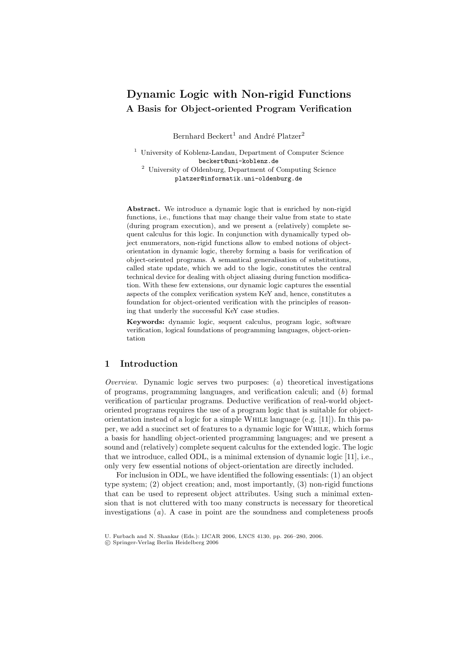# Dynamic Logic with Non-rigid Functions A Basis for Object-oriented Program Verification

Bernhard Beckert<sup>1</sup> and André Platzer<sup>2</sup>

<sup>1</sup> University of Koblenz-Landau, Department of Computer Science beckert@uni-koblenz.de

<sup>2</sup> University of Oldenburg, Department of Computing Science platzer@informatik.uni-oldenburg.de

Abstract. We introduce a dynamic logic that is enriched by non-rigid functions, i.e., functions that may change their value from state to state (during program execution), and we present a (relatively) complete sequent calculus for this logic. In conjunction with dynamically typed object enumerators, non-rigid functions allow to embed notions of objectorientation in dynamic logic, thereby forming a basis for verification of object-oriented programs. A semantical generalisation of substitutions, called state update, which we add to the logic, constitutes the central technical device for dealing with object aliasing during function modification. With these few extensions, our dynamic logic captures the essential aspects of the complex verification system KeY and, hence, constitutes a foundation for object-oriented verification with the principles of reasoning that underly the successful KeY case studies.

Keywords: dynamic logic, sequent calculus, program logic, software verification, logical foundations of programming languages, object-orientation

# 1 Introduction

Overview. Dynamic logic serves two purposes:  $(a)$  theoretical investigations of programs, programming languages, and verification calculi; and (b) formal verification of particular programs. Deductive verification of real-world objectoriented programs requires the use of a program logic that is suitable for objectorientation instead of a logic for a simple While language (e.g. [11]). In this paper, we add a succinct set of features to a dynamic logic for While, which forms a basis for handling object-oriented programming languages; and we present a sound and (relatively) complete sequent calculus for the extended logic. The logic that we introduce, called ODL, is a minimal extension of dynamic logic [11], i.e., only very few essential notions of object-orientation are directly included.

For inclusion in ODL, we have identified the following essentials: (1) an object type system; (2) object creation; and, most importantly, (3) non-rigid functions that can be used to represent object attributes. Using such a minimal extension that is not cluttered with too many constructs is necessary for theoretical investigations (a). A case in point are the soundness and completeness proofs

U. Furbach and N. Shankar (Eds.): IJCAR 2006, LNCS 4130, pp. 266–280, 2006.

c Springer-Verlag Berlin Heidelberg 2006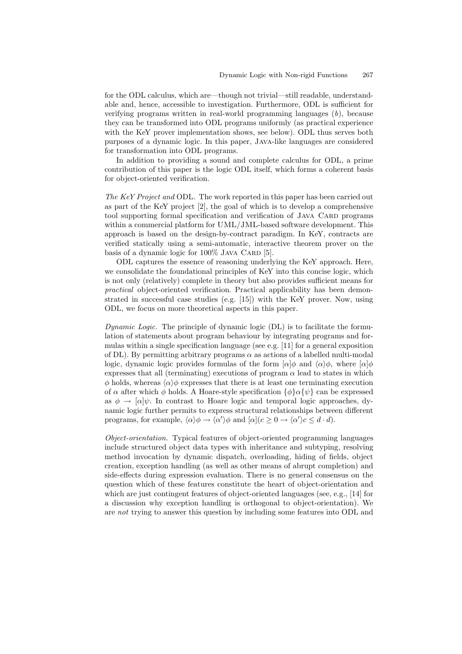for the ODL calculus, which are—though not trivial—still readable, understandable and, hence, accessible to investigation. Furthermore, ODL is sufficient for verifying programs written in real-world programming languages  $(b)$ , because they can be transformed into ODL programs uniformly (as practical experience with the KeY prover implementation shows, see below). ODL thus serves both purposes of a dynamic logic. In this paper, Java-like languages are considered for transformation into ODL programs.

In addition to providing a sound and complete calculus for ODL, a prime contribution of this paper is the logic ODL itself, which forms a coherent basis for object-oriented verification.

The KeY Project and ODL. The work reported in this paper has been carried out as part of the KeY project [2], the goal of which is to develop a comprehensive tool supporting formal specification and verification of JAVA CARD programs within a commercial platform for UML/JML-based software development. This approach is based on the design-by-contract paradigm. In KeY, contracts are verified statically using a semi-automatic, interactive theorem prover on the basis of a dynamic logic for  $100\%$  JAVA CARD [5].

ODL captures the essence of reasoning underlying the KeY approach. Here, we consolidate the foundational principles of KeY into this concise logic, which is not only (relatively) complete in theory but also provides sufficient means for practical object-oriented verification. Practical applicability has been demonstrated in successful case studies (e.g. [15]) with the KeY prover. Now, using ODL, we focus on more theoretical aspects in this paper.

Dynamic Logic. The principle of dynamic logic  $(DL)$  is to facilitate the formulation of statements about program behaviour by integrating programs and formulas within a single specification language (see e.g. [11] for a general exposition of DL). By permitting arbitrary programs  $\alpha$  as actions of a labelled multi-modal logic, dynamic logic provides formulas of the form  $[\alpha]\phi$  and  $\langle \alpha \rangle \phi$ , where  $[\alpha]\phi$ expresses that all (terminating) executions of program  $\alpha$  lead to states in which  $\phi$  holds, whereas  $\langle \alpha \rangle \phi$  expresses that there is at least one terminating execution of  $\alpha$  after which  $\phi$  holds. A Hoare-style specification  $\{\phi\} \alpha \{\psi\}$  can be expressed as  $\phi \rightarrow [\alpha]\psi$ . In contrast to Hoare logic and temporal logic approaches, dynamic logic further permits to express structural relationships between different programs, for example,  $\langle \alpha \rangle \phi \rightarrow \langle \alpha' \rangle \phi$  and  $[\alpha](c \geq 0 \rightarrow \langle \alpha' \rangle c \leq d \cdot d)$ .

Object-orientation. Typical features of object-oriented programming languages include structured object data types with inheritance and subtyping, resolving method invocation by dynamic dispatch, overloading, hiding of fields, object creation, exception handling (as well as other means of abrupt completion) and side-effects during expression evaluation. There is no general consensus on the question which of these features constitute the heart of object-orientation and which are just contingent features of object-oriented languages (see, e.g., [14] for a discussion why exception handling is orthogonal to object-orientation). We are not trying to answer this question by including some features into ODL and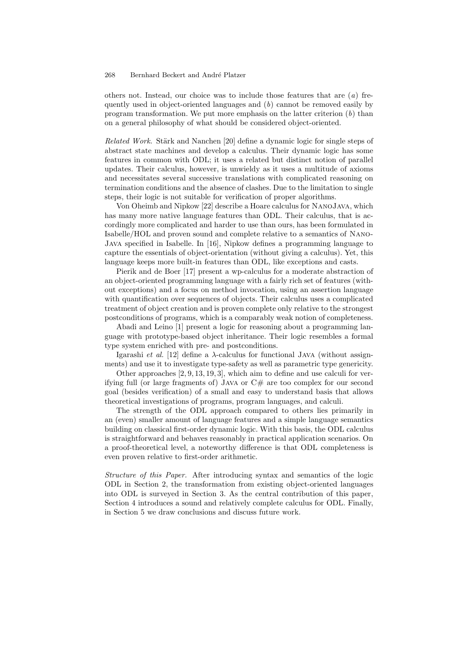others not. Instead, our choice was to include those features that are  $(a)$  frequently used in object-oriented languages and  $(b)$  cannot be removed easily by program transformation. We put more emphasis on the latter criterion  $(b)$  than on a general philosophy of what should be considered object-oriented.

Related Work. Stärk and Nanchen [20] define a dynamic logic for single steps of abstract state machines and develop a calculus. Their dynamic logic has some features in common with ODL; it uses a related but distinct notion of parallel updates. Their calculus, however, is unwieldy as it uses a multitude of axioms and necessitates several successive translations with complicated reasoning on termination conditions and the absence of clashes. Due to the limitation to single steps, their logic is not suitable for verification of proper algorithms.

Von Oheimb and Nipkow [22] describe a Hoare calculus for NanoJava, which has many more native language features than ODL. Their calculus, that is accordingly more complicated and harder to use than ours, has been formulated in Isabelle/HOL and proven sound and complete relative to a semantics of Nano-Java specified in Isabelle. In [16], Nipkow defines a programming language to capture the essentials of object-orientation (without giving a calculus). Yet, this language keeps more built-in features than ODL, like exceptions and casts.

Pierik and de Boer [17] present a wp-calculus for a moderate abstraction of an object-oriented programming language with a fairly rich set of features (without exceptions) and a focus on method invocation, using an assertion language with quantification over sequences of objects. Their calculus uses a complicated treatment of object creation and is proven complete only relative to the strongest postconditions of programs, which is a comparably weak notion of completeness.

Abadi and Leino [1] present a logic for reasoning about a programming language with prototype-based object inheritance. Their logic resembles a formal type system enriched with pre- and postconditions.

Igarashi et al. [12] define a  $\lambda$ -calculus for functional JAVA (without assignments) and use it to investigate type-safety as well as parametric type genericity.

Other approaches [2, 9, 13, 19, 3], which aim to define and use calculi for verifying full (or large fragments of) JAVA or  $C#$  are too complex for our second goal (besides verification) of a small and easy to understand basis that allows theoretical investigations of programs, program languages, and calculi.

The strength of the ODL approach compared to others lies primarily in an (even) smaller amount of language features and a simple language semantics building on classical first-order dynamic logic. With this basis, the ODL calculus is straightforward and behaves reasonably in practical application scenarios. On a proof-theoretical level, a noteworthy difference is that ODL completeness is even proven relative to first-order arithmetic.

Structure of this Paper. After introducing syntax and semantics of the logic ODL in Section 2, the transformation from existing object-oriented languages into ODL is surveyed in Section 3. As the central contribution of this paper, Section 4 introduces a sound and relatively complete calculus for ODL. Finally, in Section 5 we draw conclusions and discuss future work.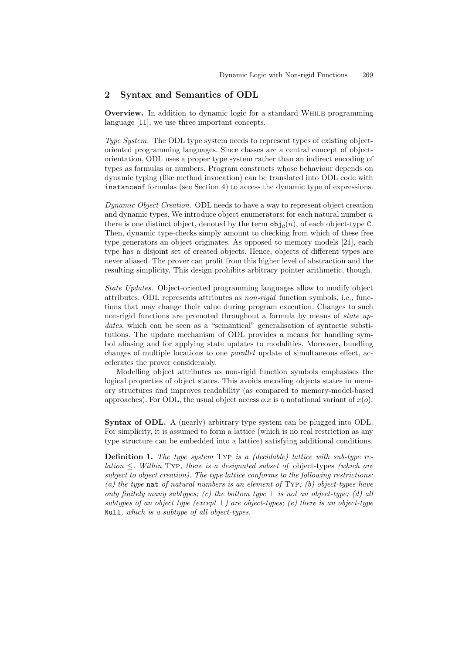## 2 Syntax and Semantics of ODL

Overview. In addition to dynamic logic for a standard While programming language [11], we use three important concepts.

Type System. The ODL type system needs to represent types of existing objectoriented programming languages. Since classes are a central concept of objectorientation, ODL uses a proper type system rather than an indirect encoding of types as formulas or numbers. Program constructs whose behaviour depends on dynamic typing (like method invocation) can be translated into ODL code with instanceof formulas (see Section 4) to access the dynamic type of expressions.

Dynamic Object Creation. ODL needs to have a way to represent object creation and dynamic types. We introduce object enumerators: for each natural number  $n$ there is one distinct object, denoted by the term  $obj_c(n)$ , of each object-type C. Then, dynamic type-checks simply amount to checking from which of these free type generators an object originates. As opposed to memory models [21], each type has a disjoint set of created objects. Hence, objects of different types are never aliased. The prover can profit from this higher level of abstraction and the resulting simplicity. This design prohibits arbitrary pointer arithmetic, though.

State Updates. Object-oriented programming languages allow to modify object attributes. ODL represents attributes as non-rigid function symbols, i.e., functions that may change their value during program execution. Changes to such non-rigid functions are promoted throughout a formula by means of *state up*dates, which can be seen as a "semantical" generalisation of syntactic substitutions. The update mechanism of ODL provides a means for handling symbol aliasing and for applying state updates to modalities. Moreover, bundling changes of multiple locations to one *parallel* update of simultaneous effect, accelerates the prover considerably.

Modelling object attributes as non-rigid function symbols emphasises the logical properties of object states. This avoids encoding objects states in memory structures and improves readability (as compared to memory-model-based approaches). For ODL, the usual object access o.x is a notational variant of  $x(o)$ .

Syntax of ODL. A (nearly) arbitrary type system can be plugged into ODL. For simplicity, it is assumed to form a lattice (which is no real restriction as any type structure can be embedded into a lattice) satisfying additional conditions.

**Definition 1.** The type system  $TYP$  is a (decidable) lattice with sub-type relation  $\leq$ . Within TYP, there is a designated subset of object-types (which are subject to object creation). The type lattice conforms to the following restrictions: (a) the type nat of natural numbers is an element of  $TYP$ ; (b) object-types have only finitely many subtypes; (c) the bottom type  $\perp$  is not an object-type; (d) all subtypes of an object type (except  $\perp$ ) are object-types; (e) there is an object-type Null, which is a subtype of all object-types.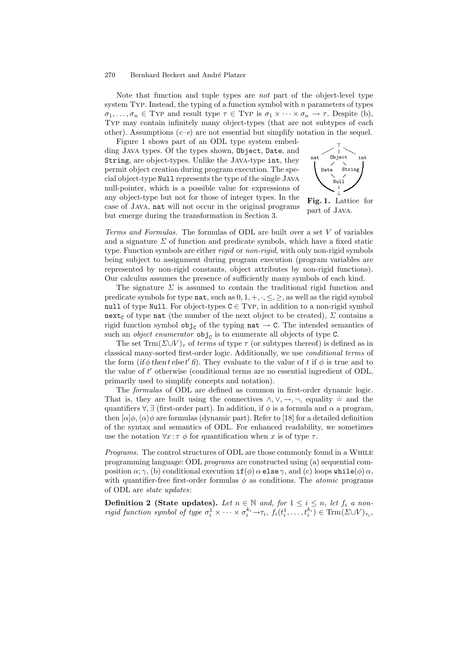Note that function and tuple types are not part of the object-level type system Typ. Instead, the typing of a function symbol with  $n$  parameters of types  $\sigma_1, \ldots, \sigma_n \in \text{Typ and result type } \tau \in \text{Typ is } \sigma_1 \times \cdots \times \sigma_n \to \tau.$  Despite (b), Typ may contain infinitely many object-types (that are not subtypes of each other). Assumptions  $(c-e)$  are not essential but simplify notation in the sequel.

Figure 1 shows part of an ODL type system embedding Java types. Of the types shown, Object, Date, and String, are object-types. Unlike the Java-type int, they permit object creation during program execution. The special object-type Null represents the type of the single Java null-pointer, which is a possible value for expressions of any object-type but not for those of integer types. In the case of Java, nat will not occur in the original programs but emerge during the transformation in Section 3.



Fig. 1. Lattice for part of Java.

Terms and Formulas. The formulas of ODL are built over a set V of variables and a signature  $\Sigma$  of function and predicate symbols, which have a fixed static type. Function symbols are either *rigid* or *non-rigid*, with only non-rigid symbols being subject to assignment during program execution (program variables are represented by non-rigid constants, object attributes by non-rigid functions). Our calculus assumes the presence of sufficiently many symbols of each kind.

The signature  $\Sigma$  is assumed to contain the traditional rigid function and predicate symbols for type nat, such as  $0, 1, +, \cdot, \leq, \geq$ , as well as the rigid symbol null of type Null. For object-types  $C \in TYP$ , in addition to a non-rigid symbol next<sub>c</sub> of type nat (the number of the next object to be created),  $\Sigma$  contains a rigid function symbol  $obj_c$  of the typing  $nat \rightarrow C$ . The intended semantics of such an *object enumerator*  $obj<sub>C</sub>$  is to enumerate all objects of type C.

The set Trm( $\Sigma \cup V$ )<sub>τ</sub> of terms of type τ (or subtypes thereof) is defined as in classical many-sorted first-order logic. Additionally, we use conditional terms of the form  $(f\phi)$  then t elset' fi). They evaluate to the value of t if  $\phi$  is true and to the value of t' otherwise (conditional terms are no essential ingredient of ODL, primarily used to simplify concepts and notation).

The formulas of ODL are defined as common in first-order dynamic logic. That is, they are built using the connectives  $\land, \lor, \rightarrow, \neg$ , equality  $\dot{=}$  and the quantifiers  $\forall$ ,  $\exists$  (first-order part). In addition, if  $\phi$  is a formula and  $\alpha$  a program, then  $\alpha|\phi,\langle\alpha\rangle\phi$  are formulas (dynamic part). Refer to [18] for a detailed definition of the syntax and semantics of ODL. For enhanced readability, we sometimes use the notation  $\forall x : \tau \phi$  for quantification when x is of type  $\tau$ .

Programs. The control structures of ODL are those commonly found in a WHILE programming language: ODL programs are constructed using (a) sequential composition  $\alpha$ ;  $\gamma$ , (b) conditional execution  $if(\phi) \alpha$  else  $\gamma$ , and (c) loops while( $\phi$ )  $\alpha$ , with quantifier-free first-order formulas  $\phi$  as conditions. The *atomic* programs of ODL are state updates:

**Definition 2 (State updates).** Let  $n \in \mathbb{N}$  and, for  $1 \leq i \leq n$ , let  $f_i$  a nonrigid function symbol of type  $\sigma_i^1 \times \cdots \times \sigma_i^{k_i} \to \tau_i$ ,  $f_i(t_i^1, \ldots, t_i^{k_i}) \in \text{Trm}(\Sigma \cup V)_{\tau_i}$ ,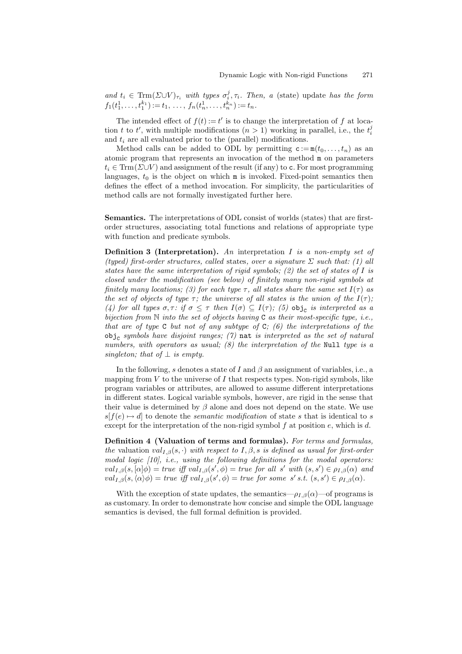and  $t_i \in \text{Trm}(\Sigma \cup V)_{\tau_i}$  with types  $\sigma_i^j$ ,  $\tau_i$ . Then, a (state) update has the form  $f_1(t_1^1, \ldots, t_1^{k_1}) := t_1, \ldots, f_n(t_n^1, \ldots, t_n^{k_n}) := t_n.$ 

The intended effect of  $f(t) := t'$  is to change the interpretation of f at location t to t', with multiple modifications  $(n > 1)$  working in parallel, i.e., the  $t_i^j$ and  $t_i$  are all evaluated prior to the (parallel) modifications.

Method calls can be added to ODL by permitting  $c := m(t_0, \ldots, t_n)$  as an atomic program that represents an invocation of the method m on parameters  $t_i \in \text{Trm}(\Sigma \cup V)$  and assignment of the result (if any) to c. For most programming languages,  $t_0$  is the object on which  $m$  is invoked. Fixed-point semantics then defines the effect of a method invocation. For simplicity, the particularities of method calls are not formally investigated further here.

Semantics. The interpretations of ODL consist of worlds (states) that are firstorder structures, associating total functions and relations of appropriate type with function and predicate symbols.

**Definition 3 (Interpretation).** An interpretation  $I$  is a non-empty set of (typed) first-order structures, called states, over a signature  $\Sigma$  such that: (1) all states have the same interpretation of rigid symbols; (2) the set of states of I is closed under the modification (see below) of finitely many non-rigid symbols at finitely many locations; (3) for each type  $\tau$ , all states share the same set  $I(\tau)$  as the set of objects of type  $\tau$ ; the universe of all states is the union of the  $I(\tau)$ ; (4) for all types  $\sigma, \tau:$  if  $\sigma \leq \tau$  then  $I(\sigma) \subseteq I(\tau)$ ; (5)  $\sigma \sigma$  is interpreted as a bijection from N into the set of objects having C as their most-specific type, i.e., that are of type  $C$  but not of any subtype of  $C$ ; (6) the interpretations of the  $\mathsf{obj}_\mathsf{C}$  symbols have disjoint ranges; (7)  $\mathsf{nat}$  is interpreted as the set of natural numbers, with operators as usual; (8) the interpretation of the Null type is a singleton; that of  $\perp$  is empty.

In the following, s denotes a state of I and  $\beta$  an assignment of variables, i.e., a mapping from  $V$  to the universe of  $I$  that respects types. Non-rigid symbols, like program variables or attributes, are allowed to assume different interpretations in different states. Logical variable symbols, however, are rigid in the sense that their value is determined by  $\beta$  alone and does not depend on the state. We use  $s[f(e) \rightarrow d]$  to denote the *semantic modification* of state s that is identical to s except for the interpretation of the non-rigid symbol  $f$  at position  $e$ , which is  $d$ .

Definition 4 (Valuation of terms and formulas). For terms and formulas, the valuation  $val_{I,\beta}(s, \cdot)$  with respect to  $I, \beta, s$  is defined as usual for first-order modal logic [10], i.e., using the following definitions for the modal operators:  $val_{I,\beta}(s,[\alpha]\phi) = \text{true}$  iff  $val_{I,\beta}(s',\phi) = \text{true}$  for all s' with  $(s,s') \in \rho_{I,\beta}(\alpha)$  and  $val_{I,\beta}(s,\langle \alpha \rangle \phi) = \text{true} \text{ iff } val_{I,\beta}(s',\phi) = \text{true} \text{ for some } s' \text{ s.t. } (s,s') \in \rho_{I,\beta}(\alpha).$ 

With the exception of state updates, the semantics— $\rho_{I,\beta}(\alpha)$ —of programs is as customary. In order to demonstrate how concise and simple the ODL language semantics is devised, the full formal definition is provided.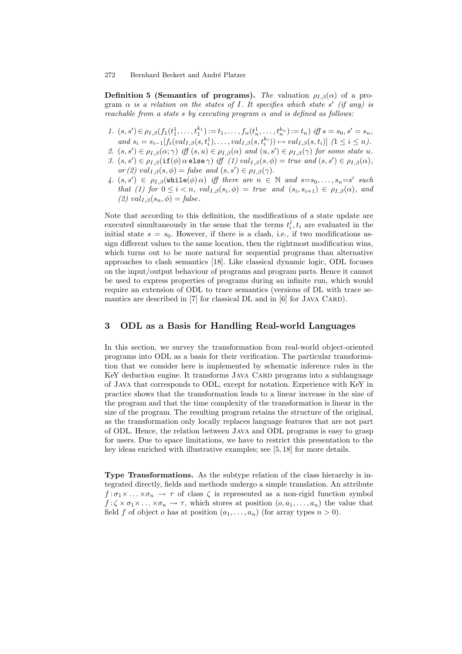**Definition 5 (Semantics of programs).** The valuation  $\rho_{I,\beta}(\alpha)$  of a program  $\alpha$  is a relation on the states of I. It specifies which state s' (if any) is reachable from a state s by executing program  $\alpha$  and is defined as follows:

- 1.  $(s, s') \in \rho_{I,\beta}(f_1(t_1^1, \ldots, t_1^{k_1}) := t_1, \ldots, f_n(t_n^1, \ldots, t_n^{k_n}) := t_n)$  iff  $s = s_0, s' = s_n$ , and  $s_i = s_{i-1}[f_i(val_{I,\beta}(s,t_i^1),...,val_{I,\beta}(s,t_i^k)) \mapsto val_{I,\beta}(s,t_i)] \quad (1 \leq i \leq n)$ .
- 2.  $(s, s') \in \rho_{I, \beta}(\alpha; \gamma)$  iff  $(s, u) \in \rho_{I, \beta}(\alpha)$  and  $(u, s') \in \rho_{I, \beta}(\gamma)$  for some state u.
- 3.  $(s, s') \in \rho_{I, \beta}(\text{if}(\phi) \alpha \text{else} \gamma) \text{ iff } (1) val_{I, \beta}(s, \phi) = \text{true} \text{ and } (s, s') \in \rho_{I, \beta}(\alpha),$ or (2)  $val_{I,\beta}(s,\phi) = \text{false}$  and  $(s,s') \in \rho_{I,\beta}(\gamma)$ .
- 4.  $(s, s') \in \rho_{I, \beta}(\text{while}(\phi) \alpha)$  iff there are  $n \in \mathbb{N}$  and  $s=s_0, \ldots, s_n=s'$  such that (1) for  $0 \leq i < n$ ,  $val_{I,\beta}(s_i, \phi) = true$  and  $(s_i, s_{i+1}) \in \rho_{I,\beta}(\alpha)$ , and (2)  $val_{I,\beta}(s_n, \phi) = false$ .

Note that according to this definition, the modifications of a state update are executed simultaneously in the sense that the terms  $t_i^j, t_i$  are evaluated in the initial state  $s = s_0$ . However, if there is a clash, i.e., if two modifications assign different values to the same location, then the rightmost modification wins, which turns out to be more natural for sequential programs than alternative approaches to clash semantics [18]. Like classical dynamic logic, ODL focuses on the input/output behaviour of programs and program parts. Hence it cannot be used to express properties of programs during an infinite run, which would require an extension of ODL to trace semantics (versions of DL with trace semantics are described in  $[7]$  for classical DL and in  $[6]$  for JAVA CARD).

## 3 ODL as a Basis for Handling Real-world Languages

In this section, we survey the transformation from real-world object-oriented programs into ODL as a basis for their verification. The particular transformation that we consider here is implemented by schematic inference rules in the KeY deduction engine. It transforms JAVA CARD programs into a sublanguage of Java that corresponds to ODL, except for notation. Experience with KeY in practice shows that the transformation leads to a linear increase in the size of the program and that the time complexity of the transformation is linear in the size of the program. The resulting program retains the structure of the original, as the transformation only locally replaces language features that are not part of ODL. Hence, the relation between Java and ODL programs is easy to grasp for users. Due to space limitations, we have to restrict this presentation to the key ideas enriched with illustrative examples; see [5, 18] for more details.

Type Transformations. As the subtype relation of the class hierarchy is integrated directly, fields and methods undergo a simple translation. An attribute  $f : \sigma_1 \times \ldots \times \sigma_n \to \tau$  of class  $\zeta$  is represented as a non-rigid function symbol  $f: \zeta \times \sigma_1 \times \ldots \times \sigma_n \to \tau$ , which stores at position  $(o, a_1, \ldots, a_n)$  the value that field f of object o has at position  $(a_1, \ldots, a_n)$  (for array types  $n > 0$ ).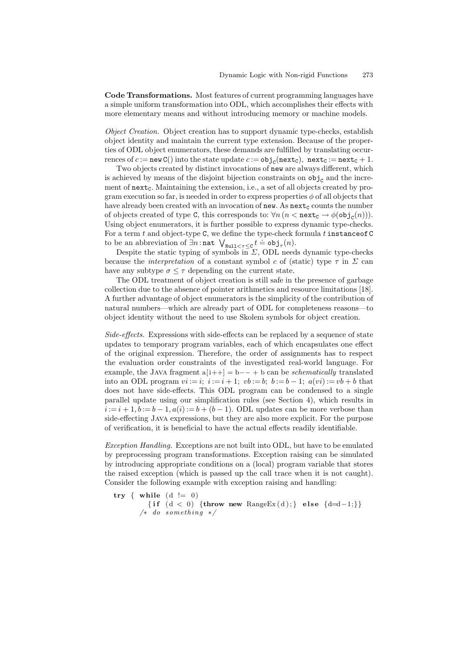Code Transformations. Most features of current programming languages have a simple uniform transformation into ODL, which accomplishes their effects with more elementary means and without introducing memory or machine models.

Object Creation. Object creation has to support dynamic type-checks, establish object identity and maintain the current type extension. Because of the properties of ODL object enumerators, these demands are fulfilled by translating occurrences of  $c := \texttt{new C}()$  into the state update  $c := \texttt{obj}_c(\texttt{next}_c)$ ,  $\texttt{next}_c := \texttt{next}_c + 1$ .

Two objects created by distinct invocations of new are always different, which is achieved by means of the disjoint bijection constraints on  $\mathrm{obj}_C$  and the increment of  $next_c$ . Maintaining the extension, i.e., a set of all objects created by program execution so far, is needed in order to express properties  $\phi$  of all objects that have already been created with an invocation of new. As  $next<sub>c</sub>$  counts the number of objects created of type **C**, this corresponds to:  $\forall n \ (n < \texttt{next}_{\texttt{C}} \rightarrow \phi(\texttt{obj}_{\texttt{C}}(n)))$ . Using object enumerators, it is further possible to express dynamic type-checks. For a term  $t$  and object-type C, we define the type-check formula  $t$  instance of C to be an abbreviation of  $\exists n$ : nat  $\bigvee_{\text{Null} < \tau \leq \mathbf{C}} t = \text{obj}_{\tau}(n)$ .

Despite the static typing of symbols in  $\Sigma$ , ODL needs dynamic type-checks because the *interpretation* of a constant symbol c of (static) type  $\tau$  in  $\Sigma$  can have any subtype  $\sigma \leq \tau$  depending on the current state.

The ODL treatment of object creation is still safe in the presence of garbage collection due to the absence of pointer arithmetics and resource limitations [18]. A further advantage of object enumerators is the simplicity of the contribution of natural numbers—which are already part of ODL for completeness reasons—to object identity without the need to use Skolem symbols for object creation.

Side-effects. Expressions with side-effects can be replaced by a sequence of state updates to temporary program variables, each of which encapsulates one effect of the original expression. Therefore, the order of assignments has to respect the evaluation order constraints of the investigated real-world language. For example, the JAVA fragment  $a[i++]=b--+b$  can be *schematically* translated into an ODL program  $vi := i$ ;  $i := i + 1$ ;  $vb := b$ ;  $b := b - 1$ ;  $a(vi) := vb + b$  that does not have side-effects. This ODL program can be condensed to a single parallel update using our simplification rules (see Section 4), which results in  $i := i + 1, b := b - 1, a(i) := b + (b - 1)$ . ODL updates can be more verbose than side-effecting Java expressions, but they are also more explicit. For the purpose of verification, it is beneficial to have the actual effects readily identifiable.

Exception Handling. Exceptions are not built into ODL, but have to be emulated by preprocessing program transformations. Exception raising can be simulated by introducing appropriate conditions on a (local) program variable that stores the raised exception (which is passed up the call trace when it is not caught). Consider the following example with exception raising and handling:

```
try { while (d := 0){if (d < 0) {throw new RangeEx(d);} else {d=d-1;}}
      /* do something */
```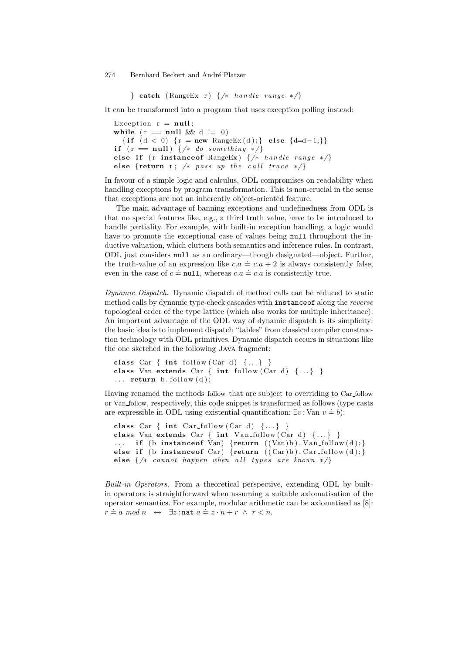$\}$  catch (RangeEx r) {/\* handle range \*/}

It can be transformed into a program that uses exception polling instead:

```
Exception r = null;
while (r == null \& d != 0){if (d < 0) { r = new RangeEx(d); } else {d=d-1;}}
if (r == null) {/* do something */}
else if (r instanceof RangeEx) \{/* \ handle \ range *\}else {return r; /* pass up the call trace */}
```
In favour of a simple logic and calculus, ODL compromises on readability when handling exceptions by program transformation. This is non-crucial in the sense that exceptions are not an inherently object-oriented feature.

The main advantage of banning exceptions and undefinedness from ODL is that no special features like, e.g., a third truth value, have to be introduced to handle partiality. For example, with built-in exception handling, a logic would have to promote the exceptional case of values being null throughout the inductive valuation, which clutters both semantics and inference rules. In contrast, ODL just considers null as an ordinary—though designated—object. Further, the truth-value of an expression like  $c.a \doteq c.a + 2$  is always consistently false, even in the case of  $c = \text{null}$ , whereas  $c.a = c.a$  is consistently true.

Dynamic Dispatch. Dynamic dispatch of method calls can be reduced to static method calls by dynamic type-check cascades with instanceof along the reverse topological order of the type lattice (which also works for multiple inheritance). An important advantage of the ODL way of dynamic dispatch is its simplicity: the basic idea is to implement dispatch "tables" from classical compiler construction technology with ODL primitives. Dynamic dispatch occurs in situations like the one sketched in the following Java fragment:

```
class Car \{ int follow (Car d) \{ ... \}class Van extends Car { int follow (Car d) \{ \ldots \} }
... return b. follow (d);
```
Having renamed the methods follow that are subject to overriding to Car follow or Van follow, respectively, this code snippet is transformed as follows (type casts are expressible in ODL using existential quantification:  $\exists v : \text{Van } v \doteq b$ :

```
class Car \{ int Car_follow (Car d) \{ \ldots \} }
class Van extends Car { int Van follow (Car d) \{ \ldots \} }
... if (b instance of Van) \{return ((Van)b) \cdot Van_follow(d); \}else if (b instance of Car) \{return ((Car)b) \ldots Car_f 0 \}else \{\n    / * \text{ cannot happen when all types are known */}\n
```
Built-in Operators. From a theoretical perspective, extending ODL by builtin operators is straightforward when assuming a suitable axiomatisation of the operator semantics. For example, modular arithmetic can be axiomatised as [8]:  $r \doteq a \mod n \leftrightarrow \exists z : \texttt{nat} \ a \doteq z \cdot n + r \ \land \ r < n.$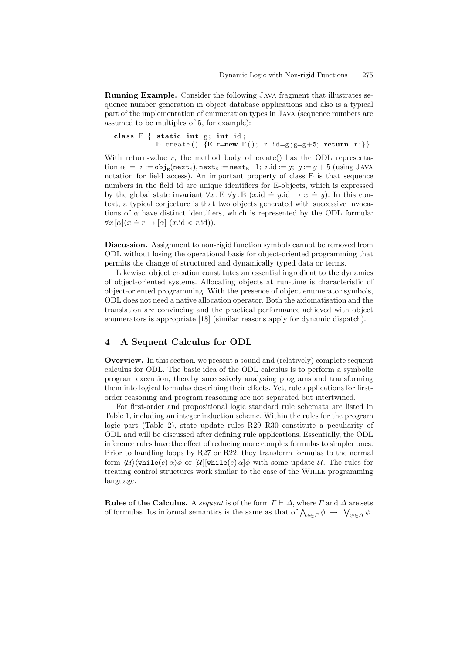Running Example. Consider the following Java fragment that illustrates sequence number generation in object database applications and also is a typical part of the implementation of enumeration types in Java (sequence numbers are assumed to be multiples of 5, for example):

class  $E \{$  static int g; int id; E create ()  $\{E \text{ r=new } E(); r.id=g; g=g+5; return r; \}$ 

With return-value  $r$ , the method body of create() has the ODL representation  $\alpha = r := \texttt{obj}_E(\texttt{next}_E), \texttt{next}_E := \texttt{next}_E + 1; r.\texttt{id} := g; g := g + 5 \text{ (using JAVA)}$ notation for field access). An important property of class E is that sequence numbers in the field id are unique identifiers for E-objects, which is expressed by the global state invariant  $\forall x : E \forall y : E (x \text{.id} = y \text{.id} \rightarrow x = y)$ . In this context, a typical conjecture is that two objects generated with successive invocations of  $\alpha$  have distinct identifiers, which is represented by the ODL formula:  $\forall x [\alpha](x \doteq r \rightarrow [\alpha] (x \cdot id < r \cdot id)).$ 

Discussion. Assignment to non-rigid function symbols cannot be removed from ODL without losing the operational basis for object-oriented programming that permits the change of structured and dynamically typed data or terms.

Likewise, object creation constitutes an essential ingredient to the dynamics of object-oriented systems. Allocating objects at run-time is characteristic of object-oriented programming. With the presence of object enumerator symbols, ODL does not need a native allocation operator. Both the axiomatisation and the translation are convincing and the practical performance achieved with object enumerators is appropriate [18] (similar reasons apply for dynamic dispatch).

# 4 A Sequent Calculus for ODL

Overview. In this section, we present a sound and (relatively) complete sequent calculus for ODL. The basic idea of the ODL calculus is to perform a symbolic program execution, thereby successively analysing programs and transforming them into logical formulas describing their effects. Yet, rule applications for firstorder reasoning and program reasoning are not separated but intertwined.

For first-order and propositional logic standard rule schemata are listed in Table 1, including an integer induction scheme. Within the rules for the program logic part (Table 2), state update rules R29–R30 constitute a peculiarity of ODL and will be discussed after defining rule applications. Essentially, the ODL inference rules have the effect of reducing more complex formulas to simpler ones. Prior to handling loops by R27 or R22, they transform formulas to the normal form  $\langle U \rangle$ (while(e)  $\alpha$ ) $\phi$  or [U][while(e)  $\alpha$ ] $\phi$  with some update U. The rules for treating control structures work similar to the case of the While programming language.

**Rules of the Calculus.** A sequent is of the form  $\Gamma \vdash \Delta$ , where  $\Gamma$  and  $\Delta$  are sets of formulas. Its informal semantics is the same as that of  $\bigwedge_{\phi \in \Gamma} \phi \to \bigvee_{\psi \in \Delta} \psi$ .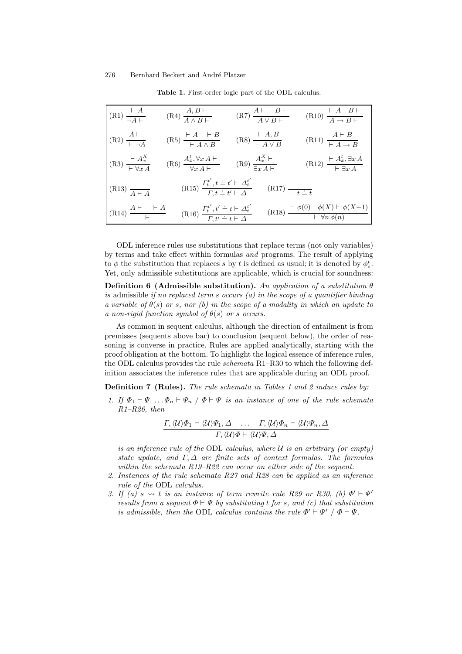| $(R1) \frac{\vdash A}{\neg A \vdash}$                    | $(R4)$ $\frac{A, B \vdash}{A \land B \vdash}$                                                        | $(R7)$ $\frac{A \vdash B \vdash}{A \lor B \vdash}$ | $(R10) \frac{\vdash A \quad B \vdash}{A \rightarrow B \vdash}$                         |
|----------------------------------------------------------|------------------------------------------------------------------------------------------------------|----------------------------------------------------|----------------------------------------------------------------------------------------|
| $(R2)$ $\frac{A \vdash}{\vdash \neg A}$                  | $(R5)$ $\frac{\vdash A \vdash B}{\vdash A \land B}$                                                  | $(R8) \frac{\vdash A, B}{\vdash A \vee B}$         | (R11) $\frac{A \vdash B}{\vdash A \to B}$                                              |
| $(R3) \frac{\vdash A_x^{\alpha}}{\vdash \forall x \; A}$ | $(R6)$ $\frac{A_x^t, \forall x \, A \vdash}{\forall x \, A \vdash}$                                  | $(R9)$ $\frac{A_x^A +}{\exists x A \vdash}$        | $(R12) \frac{\vdash A_x^t, \exists x \, A}{\vdash \exists x \, A}$                     |
| $(R13)$ $\overline{A \vdash A}$                          | (R15) $\frac{\Gamma_t^{t'}, t \doteq t' \vdash \Delta_t^{t'}}{\Gamma_t \doteq t' \vdash \Delta_t}$   | $(R17)$ $\overline{+ t \doteq t}$                  |                                                                                        |
| $(R14)$ $\frac{A \vdash \vdash A}{\vdash}$               | (R16) $\frac{\Gamma_t^{t'}, t' \doteq t \vdash \Delta_t^{t'}}{\Gamma_t t' \doteq t \vdash \Delta_t}$ |                                                    | (R18) $\frac{\vdash \phi(0) \quad \phi(X) \vdash \phi(X+1)}{\vdash \forall n \phi(n)}$ |

Table 1. First-order logic part of the ODL calculus.

ODL inference rules use substitutions that replace terms (not only variables) by terms and take effect within formulas and programs. The result of applying to  $\phi$  the substitution that replaces s by t is defined as usual; it is denoted by  $\phi_s^t$ . Yet, only admissible substitutions are applicable, which is crucial for soundness:

**Definition 6 (Admissible substitution).** An application of a substitution  $\theta$ is admissible if no replaced term s occurs  $(a)$  in the scope of a quantifier binding a variable of  $\theta(s)$  or s, nor (b) in the scope of a modality in which an update to a non-rigid function symbol of  $\theta(s)$  or s occurs.

As common in sequent calculus, although the direction of entailment is from premisses (sequents above bar) to conclusion (sequent below), the order of reasoning is converse in practice. Rules are applied analytically, starting with the proof obligation at the bottom. To highlight the logical essence of inference rules, the ODL calculus provides the rule schemata R1–R30 to which the following definition associates the inference rules that are applicable during an ODL proof.

**Definition 7 (Rules).** The rule schemata in Tables 1 and 2 induce rules by:

1. If  $\Phi_1 \vdash \Psi_1 \ldots \Phi_n \vdash \Psi_n$  /  $\Phi \vdash \Psi$  is an instance of one of the rule schemata R1–R26, then

$$
\frac{\Gamma,\langle U \rangle \Phi_1 \vdash \langle U \rangle \Psi_1, \Delta \dots \Gamma, \langle U \rangle \Phi_n \vdash \langle U \rangle \Psi_n, \Delta}{\Gamma,\langle U \rangle \Phi \vdash \langle U \rangle \Psi, \Delta}
$$

is an inference rule of the ODL calculus, where  $\mathcal U$  is an arbitrary (or empty) state update, and  $\Gamma$ ,  $\Delta$  are finite sets of context formulas. The formulas within the schemata R19–R22 can occur on either side of the sequent.

- 2. Instances of the rule schemata R27 and R28 can be applied as an inference rule of the ODL calculus.
- 3. If (a) s  $\rightsquigarrow$  t is an instance of term rewrite rule R29 or R30, (b)  $\Phi' \vdash \Psi'$ results from a sequent  $\Phi \vdash \Psi$  by substituting t for s, and (c) that substitution is admissible, then the ODL calculus contains the rule  $\Phi' \vdash \Psi' / \Phi \vdash \Psi$ .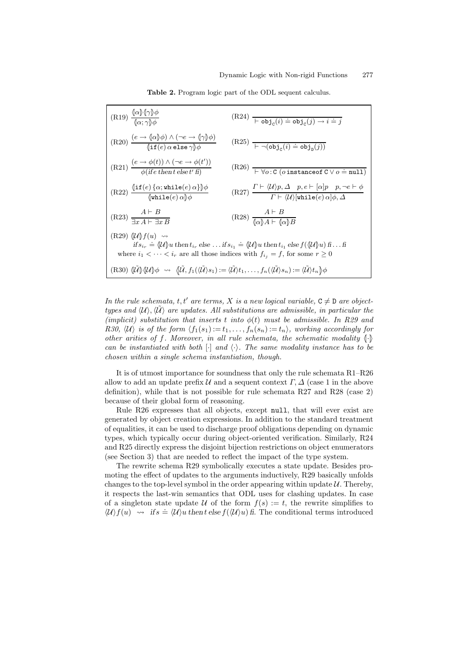| $(R19) \frac{\langle \alpha \gamma \gamma \gamma \rangle \varphi}{\langle \alpha \cdot \gamma \rangle \varphi}$                                                                                                                                                                                                                                 | $(R24)$ $\overline{+$ obj <sub>c</sub> $(i) \doteq$ obj <sub>c</sub> $(i) \rightarrow i \doteq i$                                                                                                            |  |  |
|-------------------------------------------------------------------------------------------------------------------------------------------------------------------------------------------------------------------------------------------------------------------------------------------------------------------------------------------------|--------------------------------------------------------------------------------------------------------------------------------------------------------------------------------------------------------------|--|--|
| $(R20) \frac{(e \rightarrow \phi) \land (\neg e \rightarrow \phi) \land (n \rightarrow \phi)}{n \cdot f(e) \land \phi}$                                                                                                                                                                                                                         | $(R25)$ $\overline{+ \neg(\text{obj}_c(i) \doteq \text{obj}_D(j))}$                                                                                                                                          |  |  |
| (R21) $\frac{(e \to \phi(t)) \land (\neg e \to \phi(t'))}{\phi(\text{if } e \text{ then } t \text{ else } t' \text{ fi})}$                                                                                                                                                                                                                      | $(R26)$ $\overline{+ \forall o : C \ (o \text{ instance of } C \lor o = \text{null})}$                                                                                                                       |  |  |
| (R22) $\frac{\{\text{if}(e) \{\alpha; \text{while}(e) \alpha\}\}\phi}{\{\text{while}(e) \alpha\}\phi}$                                                                                                                                                                                                                                          | (R27) $\frac{\Gamma \vdash \langle \mathcal{U} \rangle p, \Delta \quad p, e \vdash [\alpha] p \quad p, \neg e \vdash \phi}{\Gamma \vdash \langle \mathcal{U} \rangle [\text{while}(e) \alpha] \phi, \Delta}$ |  |  |
| (R23) $\frac{A \vdash B}{\exists x \; A \vdash \exists \neg D}$                                                                                                                                                                                                                                                                                 | (R28) $\frac{A \vdash B}{\sqrt{a \lambda A + \sqrt{a \lambda R}}}$                                                                                                                                           |  |  |
| $(R29) \langle \mathcal{U} \rangle f(u) \rightsquigarrow$<br>if $s_{i_r} \doteq \langle \mathcal{U} \rangle u$ then $t_{i_r}$ else  if $s_{i_1} \doteq \langle \mathcal{U} \rangle u$ then $t_{i_1}$ else $f(\langle \mathcal{U} \rangle u)$ fi fi<br>where $i_1 < \cdots < i_r$ are all those indices with $f_{i_j} = f$ , for some $r \geq 0$ |                                                                                                                                                                                                              |  |  |
| $(R30) \langle \tilde{\mathcal{U}} \rangle \langle \mathcal{U} \rangle \phi \rightsquigarrow \langle \tilde{\mathcal{U}}, f_1(\langle \tilde{\mathcal{U}} \rangle s_1) := \langle \tilde{\mathcal{U}} \rangle t_1, \dots, f_n(\langle \tilde{\mathcal{U}} \rangle s_n) := \langle \tilde{\mathcal{U}} \rangle t_n \rangle \phi$                 |                                                                                                                                                                                                              |  |  |

Table 2. Program logic part of the ODL sequent calculus.

In the rule schemata, t, t' are terms, X is a new logical variable,  $C \neq D$  are objecttypes and  $\langle \mathcal{U} \rangle$ ,  $\langle \tilde{\mathcal{U}} \rangle$  are updates. All substitutions are admissible, in particular the (implicit) substitution that inserts t into  $\phi(t)$  must be admissible. In R29 and R30,  $\langle \mathcal{U} \rangle$  is of the form  $\langle f_1(s_1) := t_1, \ldots, f_n(s_n) := t_n \rangle$ , working accordingly for other arities of f. Moreover, in all rule schemata, the schematic modality  $\{\cdot\}$ can be instantiated with both  $\lceil \cdot \rceil$  and  $\langle \cdot \rangle$ . The same modality instance has to be chosen within a single schema instantiation, though.

It is of utmost importance for soundness that only the rule schemata R1–R26 allow to add an update prefix  $\mathcal U$  and a sequent context  $\Gamma, \Delta$  (case 1 in the above definition), while that is not possible for rule schemata R27 and R28 (case 2) because of their global form of reasoning.

Rule R26 expresses that all objects, except null, that will ever exist are generated by object creation expressions. In addition to the standard treatment of equalities, it can be used to discharge proof obligations depending on dynamic types, which typically occur during object-oriented verification. Similarly, R24 and R25 directly express the disjoint bijection restrictions on object enumerators (see Section 3) that are needed to reflect the impact of the type system.

The rewrite schema R29 symbolically executes a state update. Besides promoting the effect of updates to the arguments inductively, R29 basically unfolds changes to the top-level symbol in the order appearing within update  $U$ . Thereby, it respects the last-win semantics that ODL uses for clashing updates. In case of a singleton state update U of the form  $f(s) := t$ , the rewrite simplifies to  $\langle u \rangle f(u) \rightsquigarrow$  if  $s = \langle u \rangle u$  then t else  $f(\langle u \rangle u)$  fi. The conditional terms introduced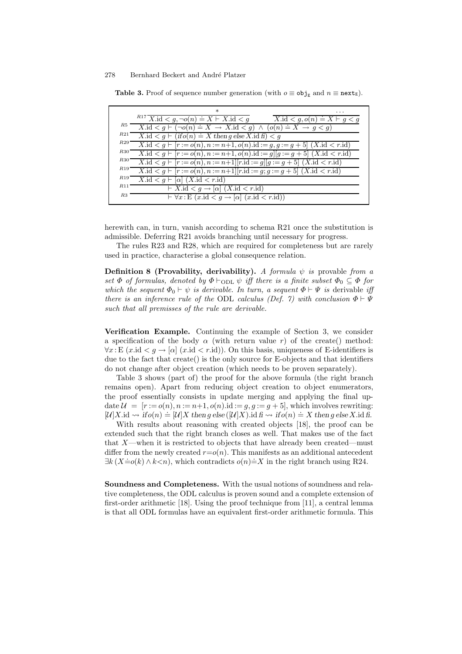|     | $\ast$<br>.                                                                                                                    |
|-----|--------------------------------------------------------------------------------------------------------------------------------|
|     | <sup>R17</sup> X.id $\lt q, \neg o(n) = X \vdash X$ .id $\lt q$<br>$X \text{.} \mathrm{id} < q$ , $o(n) \doteq X \vdash q < q$ |
|     | $R5$ $X \text{.} \text{id} < g \vdash (\neg o(n) = X \rightarrow X \text{.} \text{id} < g) \land (o(n) = X \rightarrow g < g)$ |
| R21 | $X \cdot id < q \vdash (if o(n) \doteq X then g else X \cdot id f) < q$                                                        |
| R29 | $X \cdot id < g \vdash [r := o(n), n := n+1, o(n) \cdot id := g, g := g + 5]$ (X $\cdot id < r \cdot id$ )                     |
|     | $R^{30}$ $X \text{.} \text{id} < g \vdash [r := o(n), n := n+1, o(n) \text{.} \text{id} := g   g := g + 5 ]$ (X.id < r.id)     |
| R30 | $X \cdot id < g \vdash [r := o(n), n := n+1][r \cdot id := g][g := g + 5]$ $(X \cdot id < r \cdot id)$                         |
| R19 | $X \cdot id < g \vdash [r := o(n), n := n+1][r \cdot id := g; g := g + 5]$ (X $\cdot id < r \cdot id$ )                        |
| R19 | $X \cdot id < g \vdash [\alpha] (X \cdot id < r \cdot id)$                                                                     |
| R11 | $\vdash X \text{.} \text{id} < g \rightarrow [\alpha] \ (X \text{.} \text{id} < r \text{.} \text{id})$                         |
| R3  | $\vdash \forall x \colon E \ (x \text{.} \text{id} < q \rightarrow [\alpha] \ (x \text{.} \text{id} < r \text{.} \text{id}))$  |

**Table 3.** Proof of sequence number generation (with  $o \equiv \text{obj}_E$  and  $n \equiv \text{next}_E$ ).

herewith can, in turn, vanish according to schema R21 once the substitution is admissible. Deferring R21 avoids branching until necessary for progress.

The rules R23 and R28, which are required for completeness but are rarely used in practice, characterise a global consequence relation.

Definition 8 (Provability, derivability). A formula  $\psi$  is provable from a set  $\Phi$  of formulas, denoted by  $\Phi \vdash_{\text{ODL}} \psi$  iff there is a finite subset  $\Phi_0 \subseteq \Phi$  for which the sequent  $\Phi_0 \vdash \psi$  is derivable. In turn, a sequent  $\Phi \vdash \Psi$  is derivable iff there is an inference rule of the ODL calculus (Def. 7) with conclusion  $\Phi \vdash \Psi$ such that all premisses of the rule are derivable.

Verification Example. Continuing the example of Section 3, we consider a specification of the body  $\alpha$  (with return value r) of the create() method:  $\forall x \in \mathbb{R}$  (x.id  $\langle g \rightarrow [\alpha] (x \cdot id \langle r \cdot id)]$ ). On this basis, uniqueness of E-identifiers is due to the fact that create() is the only source for E-objects and that identifiers do not change after object creation (which needs to be proven separately).

Table 3 shows (part of) the proof for the above formula (the right branch remains open). Apart from reducing object creation to object enumerators, the proof essentially consists in update merging and applying the final update  $\mathcal{U} = [r := o(n), n := n+1, o(n)$ .id :=  $q, q := q + 5$ , which involves rewriting:  $\llbracket \mathcal{U} \rrbracket X$ .id  $\leadsto$  if  $o(n) \doteq \llbracket \mathcal{U} \rrbracket X$  then g else  $(\llbracket \mathcal{U} \rrbracket X)$ .id  $\hat{\pi} \leadsto$  if  $o(n) \doteq X$  then g else X.id fi.

With results about reasoning with created objects [18], the proof can be extended such that the right branch closes as well. That makes use of the fact that  $X$ —when it is restricted to objects that have already been created—must differ from the newly created  $r=o(n)$ . This manifests as an additional antecedent  $\exists k$  ( $X = o(k) \land k < n$ ), which contradicts  $o(n) = X$  in the right branch using R24.

Soundness and Completeness. With the usual notions of soundness and relative completeness, the ODL calculus is proven sound and a complete extension of first-order arithmetic [18]. Using the proof technique from [11], a central lemma is that all ODL formulas have an equivalent first-order arithmetic formula. This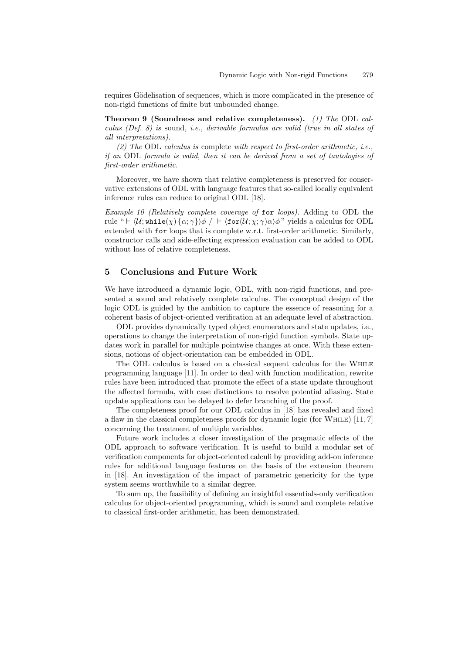requires Gödelisation of sequences, which is more complicated in the presence of non-rigid functions of finite but unbounded change.

Theorem 9 (Soundness and relative completeness). (1) The ODL calculus (Def. 8) is sound, i.e., derivable formulas are valid (true in all states of all interpretations).

(2) The ODL calculus is complete with respect to first-order arithmetic, i.e., if an ODL formula is valid, then it can be derived from a set of tautologies of first-order arithmetic.

Moreover, we have shown that relative completeness is preserved for conservative extensions of ODL with language features that so-called locally equivalent inference rules can reduce to original ODL [18].

Example 10 (Relatively complete coverage of for loops). Adding to ODL the rule "  $\vdash \langle \mathcal{U}; \text{while}(\chi) \{ \alpha; \gamma \} \rangle \phi / \vdash \langle \text{for}(\mathcal{U}; \chi; \gamma) \alpha \rangle \phi$ " yields a calculus for ODL extended with for loops that is complete w.r.t. first-order arithmetic. Similarly, constructor calls and side-effecting expression evaluation can be added to ODL without loss of relative completeness.

## 5 Conclusions and Future Work

We have introduced a dynamic logic, ODL, with non-rigid functions, and presented a sound and relatively complete calculus. The conceptual design of the logic ODL is guided by the ambition to capture the essence of reasoning for a coherent basis of object-oriented verification at an adequate level of abstraction.

ODL provides dynamically typed object enumerators and state updates, i.e., operations to change the interpretation of non-rigid function symbols. State updates work in parallel for multiple pointwise changes at once. With these extensions, notions of object-orientation can be embedded in ODL.

The ODL calculus is based on a classical sequent calculus for the While programming language [11]. In order to deal with function modification, rewrite rules have been introduced that promote the effect of a state update throughout the affected formula, with case distinctions to resolve potential aliasing. State update applications can be delayed to defer branching of the proof.

The completeness proof for our ODL calculus in [18] has revealed and fixed a flaw in the classical completeness proofs for dynamic logic (for While) [11, 7] concerning the treatment of multiple variables.

Future work includes a closer investigation of the pragmatic effects of the ODL approach to software verification. It is useful to build a modular set of verification components for object-oriented calculi by providing add-on inference rules for additional language features on the basis of the extension theorem in [18]. An investigation of the impact of parametric genericity for the type system seems worthwhile to a similar degree.

To sum up, the feasibility of defining an insightful essentials-only verification calculus for object-oriented programming, which is sound and complete relative to classical first-order arithmetic, has been demonstrated.